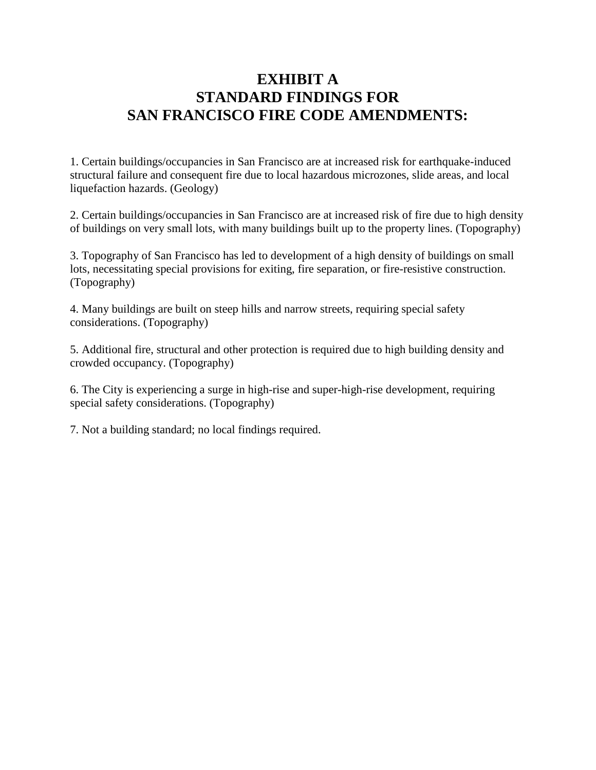## **EXHIBIT A STANDARD FINDINGS FOR SAN FRANCISCO FIRE CODE AMENDMENTS:**

1. Certain buildings/occupancies in San Francisco are at increased risk for earthquake-induced structural failure and consequent fire due to local hazardous microzones, slide areas, and local liquefaction hazards. (Geology)

2. Certain buildings/occupancies in San Francisco are at increased risk of fire due to high density of buildings on very small lots, with many buildings built up to the property lines. (Topography)

3. Topography of San Francisco has led to development of a high density of buildings on small lots, necessitating special provisions for exiting, fire separation, or fire-resistive construction. (Topography)

4. Many buildings are built on steep hills and narrow streets, requiring special safety considerations. (Topography)

5. Additional fire, structural and other protection is required due to high building density and crowded occupancy. (Topography)

6. The City is experiencing a surge in high-rise and super-high-rise development, requiring special safety considerations. (Topography)

7. Not a building standard; no local findings required.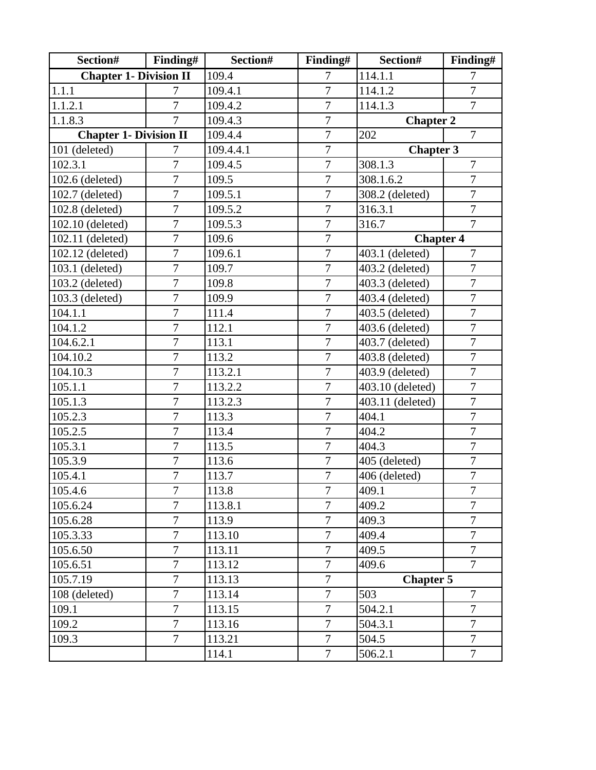| Section#                      | Finding#       | Section#  | Finding#       | Section#              | Finding#                   |  |
|-------------------------------|----------------|-----------|----------------|-----------------------|----------------------------|--|
| <b>Chapter 1- Division II</b> |                | 109.4     | 7              | $114.\overline{1.1}$  | 7                          |  |
| 1.1.1                         | 7              | 109.4.1   | $\overline{7}$ | 114.1.2               | $\overline{7}$             |  |
| 1.1.2.1                       | $\overline{7}$ | 109.4.2   | $\overline{7}$ | 114.1.3               | $\overline{7}$             |  |
| 1.1.8.3                       | $\overline{7}$ | 109.4.3   | $\overline{7}$ | <b>Chapter 2</b>      |                            |  |
| <b>Chapter 1- Division II</b> |                | 109.4.4   | $\overline{7}$ | $\overline{7}$<br>202 |                            |  |
| 101 (deleted)                 | 7              | 109.4.4.1 | $\overline{7}$ | <b>Chapter 3</b>      |                            |  |
| 102.3.1                       | 7              | 109.4.5   | $\overline{7}$ | 308.1.3               | 7                          |  |
| 102.6 (deleted)               | $\overline{7}$ | 109.5     | $\overline{7}$ | 308.1.6.2             | $\overline{7}$             |  |
| 102.7 (deleted)               | $\overline{7}$ | 109.5.1   | $\overline{7}$ | 308.2 (deleted)       | $\overline{7}$             |  |
| 102.8 (deleted)               | $\overline{7}$ | 109.5.2   | $\overline{7}$ | 316.3.1               | $\overline{7}$             |  |
| 102.10 (deleted)              | $\overline{7}$ | 109.5.3   | $\overline{7}$ | 316.7                 | $\overline{7}$             |  |
| 102.11 (deleted)              | $\overline{7}$ | 109.6     | $\overline{7}$ | <b>Chapter 4</b>      |                            |  |
| 102.12 (deleted)              | $\overline{7}$ | 109.6.1   | $\overline{7}$ | 403.1 (deleted)       | $\overline{7}$             |  |
| 103.1 (deleted)               | $\overline{7}$ | 109.7     | $\overline{7}$ | 403.2 (deleted)       | $\overline{7}$             |  |
| 103.2 (deleted)               | $\overline{7}$ | 109.8     | $\overline{7}$ | 403.3 (deleted)       | $\overline{7}$             |  |
| 103.3 (deleted)               | $\overline{7}$ | 109.9     | $\overline{7}$ | 403.4 (deleted)       | $\overline{7}$             |  |
| 104.1.1                       | $\overline{7}$ | 111.4     | $\overline{7}$ | 403.5 (deleted)       | $\overline{7}$             |  |
| 104.1.2                       | $\overline{7}$ | 112.1     | $\overline{7}$ | 403.6 (deleted)       | $\overline{7}$             |  |
| 104.6.2.1                     | $\overline{7}$ | 113.1     | 7              | 403.7 (deleted)       | $\overline{7}$             |  |
| 104.10.2                      | $\overline{7}$ | 113.2     | $\overline{7}$ | 403.8 (deleted)       | $\overline{7}$             |  |
| 104.10.3                      | $\overline{7}$ | 113.2.1   | $\overline{7}$ | 403.9 (deleted)       | $\overline{7}$             |  |
| 105.1.1                       | 7              | 113.2.2   | 7              | 403.10 (deleted)      | $\overline{7}$             |  |
| 105.1.3                       | $\overline{7}$ | 113.2.3   | $\overline{7}$ | 403.11 (deleted)      | $\overline{7}$             |  |
| 105.2.3                       | $\overline{7}$ | 113.3     | $\overline{7}$ | 404.1                 | $\overline{7}$             |  |
| 105.2.5                       | $\overline{7}$ | 113.4     | $\overline{7}$ | 404.2                 | $\tau$                     |  |
| 105.3.1                       | $\overline{7}$ | 113.5     | $\overline{7}$ | 404.3                 | $\overline{7}$             |  |
| 105.3.9                       | $\overline{7}$ | 113.6     | $\overline{7}$ | 405 (deleted)         | $\overline{7}$             |  |
| 105.4.1                       | $\overline{7}$ | 113.7     | $\overline{7}$ | 406 (deleted)         | $\boldsymbol{7}$           |  |
| 105.4.6                       | $\overline{7}$ | 113.8     | $\overline{7}$ | 409.1                 | $\overline{ }$<br>$\prime$ |  |
| 105.6.24                      | $\overline{7}$ | 113.8.1   | $\overline{7}$ | 409.2                 | $\overline{7}$             |  |
| 105.6.28                      | 7              | 113.9     | 7              | 409.3                 | $\overline{7}$             |  |
| 105.3.33                      | $\overline{7}$ | 113.10    | $\overline{7}$ | 409.4                 | $\overline{7}$             |  |
| 105.6.50                      | $\overline{7}$ | 113.11    | $\overline{7}$ | 409.5                 | $\overline{7}$             |  |
| 105.6.51                      | $\overline{7}$ | 113.12    | $\overline{7}$ | 409.6                 | $\overline{7}$             |  |
| 105.7.19                      | $\overline{7}$ | 113.13    | $\tau$         |                       | <b>Chapter 5</b>           |  |
| 108 (deleted)                 | $\overline{7}$ | 113.14    | $\overline{7}$ | 503                   | $\overline{7}$             |  |
| 109.1                         | $\overline{7}$ | 113.15    | $\overline{7}$ | 504.2.1               | $\overline{7}$             |  |
| 109.2                         | $\overline{7}$ | 113.16    | $\overline{7}$ | 504.3.1               | $\overline{7}$             |  |
| 109.3                         | $\overline{7}$ | 113.21    | $\overline{7}$ | 504.5                 | $\overline{7}$             |  |
|                               |                | 114.1     | $\overline{7}$ | 506.2.1               | $\overline{7}$             |  |